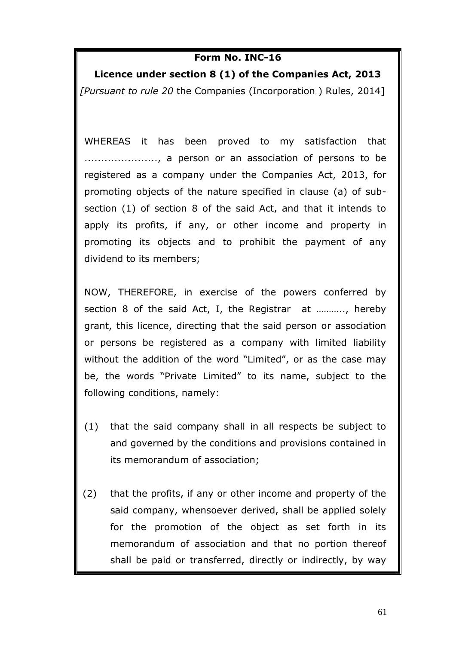## **Form No. INC-16**

**Licence under section 8 (1) of the Companies Act, 2013** *[Pursuant to rule 20* the Companies (Incorporation ) Rules, 2014]

WHEREAS it has been proved to my satisfaction that ......................, a person or an association of persons to be registered as a company under the Companies Act, 2013, for promoting objects of the nature specified in clause (a) of subsection (1) of section 8 of the said Act, and that it intends to apply its profits, if any, or other income and property in promoting its objects and to prohibit the payment of any dividend to its members;

NOW, THEREFORE, in exercise of the powers conferred by section 8 of the said Act, I, the Registrar at ……….., hereby grant, this licence, directing that the said person or association or persons be registered as a company with limited liability without the addition of the word "Limited", or as the case may be, the words "Private Limited" to its name, subject to the following conditions, namely:

- (1) that the said company shall in all respects be subject to and governed by the conditions and provisions contained in its memorandum of association;
- (2) that the profits, if any or other income and property of the said company, whensoever derived, shall be applied solely for the promotion of the object as set forth in its memorandum of association and that no portion thereof shall be paid or transferred, directly or indirectly, by way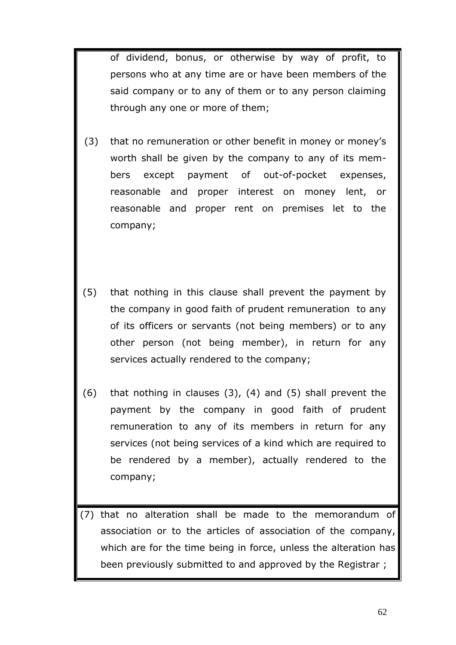of dividend, bonus, or otherwise by way of profit, to persons who at any time are or have been members of the said company or to any of them or to any person claiming through any one or more of them;

- (3) that no remuneration or other benefit in money or money's worth shall be given by the company to any of its members except payment of out-of-pocket expenses, reasonable and proper interest on money lent, or reasonable and proper rent on premises let to the company;
- (5) that nothing in this clause shall prevent the payment by the company in good faith of prudent remuneration to any of its officers or servants (not being members) or to any other person (not being member), in return for any services actually rendered to the company;
- (6) that nothing in clauses (3), (4) and (5) shall prevent the payment by the company in good faith of prudent remuneration to any of its members in return for any services (not being services of a kind which are required to be rendered by a member), actually rendered to the company;

(7) that no alteration shall be made to the memorandum of association or to the articles of association of the company, which are for the time being in force, unless the alteration has been previously submitted to and approved by the Registrar ;